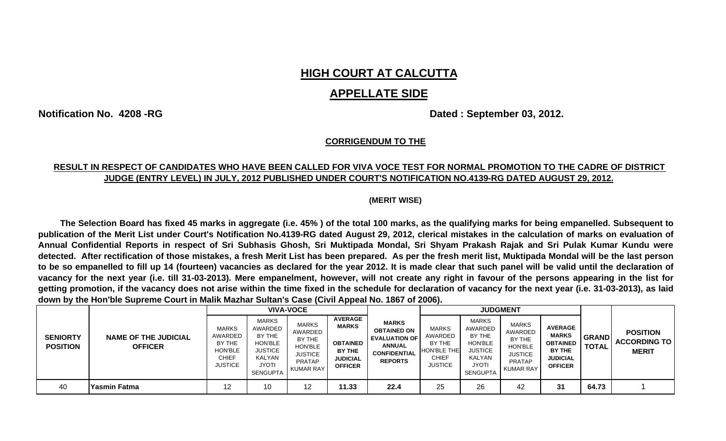# **HIGH COURT AT CALCUTTA**

## **APPELLATE SIDE**

**Notification No. 4208 -RG Dated : September 03, 2012.** 

#### **CORRIGENDUM TO THE**

### **RESULT IN RESPECT OF CANDIDATES WHO HAVE BEEN CALLED FOR VIVA VOCE TEST FOR NORMAL PROMOTION TO THE CADRE OF DISTRICT JUDGE (ENTRY LEVEL) IN JULY, 2012 PUBLISHED UNDER COURT'S NOTIFICATION NO.4139-RG DATED AUGUST 29, 2012.**

#### **(MERIT WISE)**

to be so empanelled to fill up 14 (fourteen) vacancies as declared for the year 2012. It is made clear that such panel will be valid until the declaration of getting promotion, if the vacancy does not arise within the time fixed in the schedule for declaration of vacancy for the next year (i.e. 31-03-2013), as laid The Selection Board has fixed 45 marks in aggregate (i.e. 45%) of the total 100 marks, as the qualifying marks for being empanelled. Subsequent to publication of the Merit List under Court's Notification No.4139-RG dated August 29, 2012, clerical mistakes in the calculation of marks on evaluation of Annual Confidential Reports in respect of Sri Subhasis Ghosh, Sri Muktipada Mondal, Sri Shyam Prakash Rajak and Sri Pulak Kumar Kundu were detected. After rectification of those mistakes, a fresh Merit List has been prepared. As per the fresh merit list, Muktipada Mondal will be the last person vacancy for the next year (i.e. till 31-03-2013). Mere empanelment, however, will not create any right in favour of the persons appearing in the list for **down by the Hon'ble Supreme Court in Malik Mazhar Sultan's Case (Civil Appeal No. 1867 of 2006).** 

|                                    |                                               | <b>VIVA-VOCE</b>                                                                      |                                                                                                             |                                                                                                     |                                                                                                  |                                                                                                                      | <b>JUDGMENT</b>                                                                                  |                                                                                                      |                                                                                                            |                                                                                                  |                              |                                                        |
|------------------------------------|-----------------------------------------------|---------------------------------------------------------------------------------------|-------------------------------------------------------------------------------------------------------------|-----------------------------------------------------------------------------------------------------|--------------------------------------------------------------------------------------------------|----------------------------------------------------------------------------------------------------------------------|--------------------------------------------------------------------------------------------------|------------------------------------------------------------------------------------------------------|------------------------------------------------------------------------------------------------------------|--------------------------------------------------------------------------------------------------|------------------------------|--------------------------------------------------------|
| <b>SENIORTY</b><br><b>POSITION</b> | <b>NAME OF THE JUDICIAL</b><br><b>OFFICER</b> | <b>MARKS</b><br>AWARDED<br>BY THE<br><b>HON'BLE</b><br><b>CHIEF</b><br><b>JUSTICE</b> | <b>MARKS</b><br>AWARDED<br>BY THE<br>HON'BLE<br><b>JUSTICE</b><br>KALYAN<br><b>JYOTI</b><br><b>SENGUPTA</b> | <b>MARKS</b><br>AWARDED<br>BY THE<br>HON'BLE<br><b>JUSTICE</b><br><b>PRATAP</b><br><b>KUMAR RAY</b> | <b>AVERAGE</b><br><b>MARKS</b><br><b>OBTAINED</b><br>BY THE<br><b>JUDICIAL</b><br><b>OFFICER</b> | <b>MARKS</b><br><b>OBTAINED ON</b><br><b>EVALUATION OF</b><br><b>ANNUAL</b><br><b>CONFIDENTIAL</b><br><b>REPORTS</b> | <b>MARKS</b><br><b>AWARDED</b><br>BY THE<br><b>HON'BLE THE</b><br><b>CHIEF</b><br><b>JUSTICE</b> | <b>MARKS</b><br>AWARDED<br>BY THE<br>HON'BLE<br><b>JUSTICE</b><br>KALYAN<br>JYOTI<br><b>SENGUPTA</b> | <b>MARKS</b><br>AWARDED<br>BY THE<br><b>HON'BLE</b><br><b>JUSTICE</b><br><b>PRATAP</b><br><b>KUMAR RAY</b> | <b>AVERAGE</b><br><b>MARKS</b><br><b>OBTAINED</b><br>BY THE<br><b>JUDICIAL</b><br><b>OFFICER</b> | <b>GRAND</b><br><b>TOTAL</b> | <b>POSITION</b><br><b>ACCORDING TO</b><br><b>MERIT</b> |
| 40                                 | <b>Yasmin Fatma</b>                           | 12                                                                                    | 10                                                                                                          |                                                                                                     | 11.33                                                                                            | 22.4                                                                                                                 | 25                                                                                               | 26                                                                                                   | 42                                                                                                         | 31                                                                                               | 64.73                        |                                                        |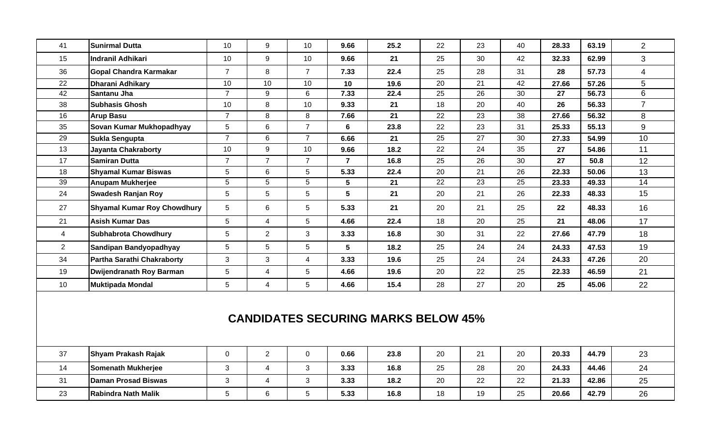| 41                                         | <b>Sunirmal Dutta</b>              | 10              | 9               | 10             | 9.66           | 25.2 | 22              | 23 | 40 | 28.33 | 63.19 | $\overline{2}$ |
|--------------------------------------------|------------------------------------|-----------------|-----------------|----------------|----------------|------|-----------------|----|----|-------|-------|----------------|
| 15                                         | Indranil Adhikari                  | 10              | 9               | 10             | 9.66           | 21   | 25              | 30 | 42 | 32.33 | 62.99 | 3              |
| 36                                         | Gopal Chandra Karmakar             | $\overline{7}$  | 8               | $\overline{7}$ | 7.33           | 22.4 | 25              | 28 | 31 | 28    | 57.73 | $\overline{4}$ |
| 22                                         | Dharani Adhikary                   | 10              | 10              | 10             | 10             | 19.6 | 20              | 21 | 42 | 27.66 | 57.26 | 5              |
| 42                                         | Santanu Jha                        | $\overline{7}$  | 9               | 6              | 7.33           | 22.4 | 25              | 26 | 30 | 27    | 56.73 | 6              |
| 38                                         | <b>Subhasis Ghosh</b>              | 10              | 8               | 10             | 9.33           | 21   | 18              | 20 | 40 | 26    | 56.33 | $\overline{7}$ |
| 16                                         | <b>Arup Basu</b>                   | $\overline{7}$  | 8               | 8              | 7.66           | 21   | 22              | 23 | 38 | 27.66 | 56.32 | 8              |
| 35                                         | Sovan Kumar Mukhopadhyay           | $5\phantom{.0}$ | $6\,$           | $\overline{7}$ | 6              | 23.8 | 22              | 23 | 31 | 25.33 | 55.13 | 9              |
| 29                                         | Sukla Sengupta                     | $\overline{7}$  | 6               | $\overline{7}$ | 6.66           | 21   | 25              | 27 | 30 | 27.33 | 54.99 | 10             |
| 13                                         | <b>Jayanta Chakraborty</b>         | 10              | 9               | 10             | 9.66           | 18.2 | 22              | 24 | 35 | 27    | 54.86 | 11             |
| 17                                         | <b>Samiran Dutta</b>               | $\overline{7}$  | $\overline{7}$  | $\overline{7}$ | $\overline{7}$ | 16.8 | 25              | 26 | 30 | 27    | 50.8  | 12             |
| 18                                         | <b>Shyamal Kumar Biswas</b>        | $5\phantom{.0}$ | 6               | 5              | 5.33           | 22.4 | 20              | 21 | 26 | 22.33 | 50.06 | 13             |
| 39                                         | <b>Anupam Mukherjee</b>            | 5               | 5               | 5              | 5              | 21   | $\overline{22}$ | 23 | 25 | 23.33 | 49.33 | 14             |
| 24                                         | <b>Swadesh Ranjan Roy</b>          | $5\phantom{.0}$ | $5\phantom{.0}$ | 5              | 5              | 21   | 20              | 21 | 26 | 22.33 | 48.33 | 15             |
| 27                                         | <b>Shyamal Kumar Roy Chowdhury</b> | 5               | $6\phantom{a}$  | 5              | 5.33           | 21   | 20              | 21 | 25 | 22    | 48.33 | 16             |
| 21                                         | <b>Asish Kumar Das</b>             | 5               | $\overline{4}$  | 5              | 4.66           | 22.4 | 18              | 20 | 25 | 21    | 48.06 | 17             |
| 4                                          | <b>Subhabrota Chowdhury</b>        | $5\phantom{.0}$ | $\overline{2}$  | 3              | 3.33           | 16.8 | 30              | 31 | 22 | 27.66 | 47.79 | 18             |
| $\overline{2}$                             | Sandipan Bandyopadhyay             | $\sqrt{5}$      | 5               | 5              | 5              | 18.2 | 25              | 24 | 24 | 24.33 | 47.53 | 19             |
| 34                                         | Partha Sarathi Chakraborty         | $\mathbf{3}$    | 3               | $\overline{4}$ | 3.33           | 19.6 | 25              | 24 | 24 | 24.33 | 47.26 | 20             |
| 19                                         | <b>Dwijendranath Roy Barman</b>    | 5               | $\overline{4}$  | 5              | 4.66           | 19.6 | 20              | 22 | 25 | 22.33 | 46.59 | 21             |
| 10                                         | <b>Muktipada Mondal</b>            | $5\phantom{.0}$ | $\overline{4}$  | 5              | 4.66           | 15.4 | 28              | 27 | 20 | 25    | 45.06 | 22             |
| <b>CANDIDATES SECURING MARKS BELOW 45%</b> |                                    |                 |                 |                |                |      |                 |    |    |       |       |                |
| 37                                         | Shyam Prakash Rajak                | $\mathbf 0$     | $\overline{2}$  | $\mathbf 0$    | 0.66           | 23.8 | 20              | 21 | 20 | 20.33 | 44.79 | 23             |
| 14                                         | <b>Somenath Mukherjee</b>          | $\mathbf{3}$    | $\overline{4}$  | 3              | 3.33           | 16.8 | 25              | 28 | 20 | 24.33 | 44.46 | 24             |
| 31                                         | Daman Prosad Biswas                | $\sqrt{3}$      | $\overline{4}$  | 3              | 3.33           | 18.2 | 20              | 22 | 22 | 21.33 | 42.86 | 25             |
| 23                                         | Rabindra Nath Malik                | 5               | 6               | 5              | 5.33           | 16.8 | 18              | 19 | 25 | 20.66 | 42.79 | 26             |